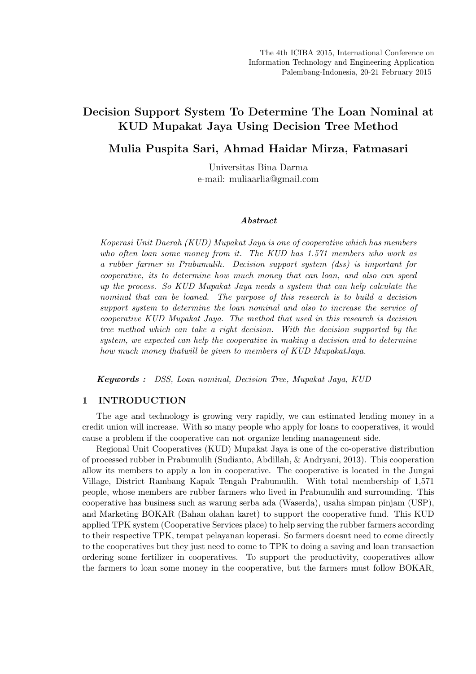# Decision Support System To Determine The Loan Nominal at KUD Mupakat Jaya Using Decision Tree Method

Mulia Puspita Sari, Ahmad Haidar Mirza, Fatmasari

Universitas Bina Darma e-mail: muliaarlia@gmail.com

#### Abstract

Koperasi Unit Daerah (KUD) Mupakat Jaya is one of cooperative which has members who often loan some money from it. The KUD has 1.571 members who work as a rubber farmer in Prabumulih. Decision support system (dss) is important for cooperative, its to determine how much money that can loan, and also can speed up the process. So KUD Mupakat Jaya needs a system that can help calculate the nominal that can be loaned. The purpose of this research is to build a decision support system to determine the loan nominal and also to increase the service of cooperative KUD Mupakat Jaya. The method that used in this research is decision tree method which can take a right decision. With the decision supported by the system, we expected can help the cooperative in making a decision and to determine how much money thatwill be given to members of KUD MupakatJaya.

Keywords : DSS, Loan nominal, Decision Tree, Mupakat Jaya, KUD

# 1 INTRODUCTION

The age and technology is growing very rapidly, we can estimated lending money in a credit union will increase. With so many people who apply for loans to cooperatives, it would cause a problem if the cooperative can not organize lending management side.

Regional Unit Cooperatives (KUD) Mupakat Jaya is one of the co-operative distribution of processed rubber in Prabumulih (Sudianto, Abdillah, & Andryani, 2013). This cooperation allow its members to apply a lon in cooperative. The cooperative is located in the Jungai Village, District Rambang Kapak Tengah Prabumulih. With total membership of 1,571 people, whose members are rubber farmers who lived in Prabumulih and surrounding. This cooperative has business such as warung serba ada (Waserda), usaha simpan pinjam (USP), and Marketing BOKAR (Bahan olahan karet) to support the cooperative fund. This KUD applied TPK system (Cooperative Services place) to help serving the rubber farmers according to their respective TPK, tempat pelayanan koperasi. So farmers doesnt need to come directly to the cooperatives but they just need to come to TPK to doing a saving and loan transaction ordering some fertilizer in cooperatives. To support the productivity, cooperatives allow the farmers to loan some money in the cooperative, but the farmers must follow BOKAR,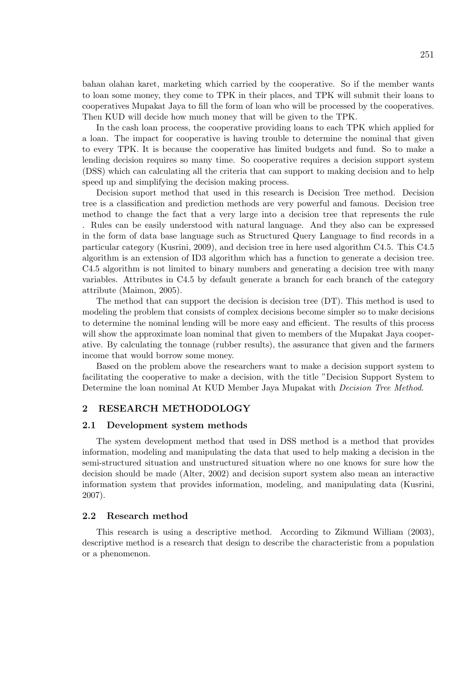bahan olahan karet, marketing which carried by the cooperative. So if the member wants to loan some money, they come to TPK in their places, and TPK will submit their loans to cooperatives Mupakat Jaya to fill the form of loan who will be processed by the cooperatives. Then KUD will decide how much money that will be given to the TPK.

In the cash loan process, the cooperative providing loans to each TPK which applied for a loan. The impact for cooperative is having trouble to determine the nominal that given to every TPK. It is because the cooperative has limited budgets and fund. So to make a lending decision requires so many time. So cooperative requires a decision support system (DSS) which can calculating all the criteria that can support to making decision and to help speed up and simplifying the decision making process.

Decision suport method that used in this research is Decision Tree method. Decision tree is a classification and prediction methods are very powerful and famous. Decision tree method to change the fact that a very large into a decision tree that represents the rule . Rules can be easily understood with natural language. And they also can be expressed in the form of data base language such as Structured Query Language to find records in a particular category (Kusrini, 2009), and decision tree in here used algorithm C4.5. This C4.5 algorithm is an extension of ID3 algorithm which has a function to generate a decision tree. C4.5 algorithm is not limited to binary numbers and generating a decision tree with many variables. Attributes in C4.5 by default generate a branch for each branch of the category attribute (Maimon, 2005).

The method that can support the decision is decision tree (DT). This method is used to modeling the problem that consists of complex decisions become simpler so to make decisions to determine the nominal lending will be more easy and efficient. The results of this process will show the approximate loan nominal that given to members of the Mupakat Jaya cooperative. By calculating the tonnage (rubber results), the assurance that given and the farmers income that would borrow some money.

Based on the problem above the researchers want to make a decision support system to facilitating the cooperative to make a decision, with the title "Decision Support System to Determine the loan nominal At KUD Member Jaya Mupakat with *Decision Tree Method.* 

#### 2 RESEARCH METHODOLOGY

#### 2.1 Development system methods

The system development method that used in DSS method is a method that provides information, modeling and manipulating the data that used to help making a decision in the semi-structured situation and unstructured situation where no one knows for sure how the decision should be made (Alter, 2002) and decision suport system also mean an interactive information system that provides information, modeling, and manipulating data (Kusrini, 2007).

#### 2.2 Research method

This research is using a descriptive method. According to Zikmund William (2003), descriptive method is a research that design to describe the characteristic from a population or a phenomenon.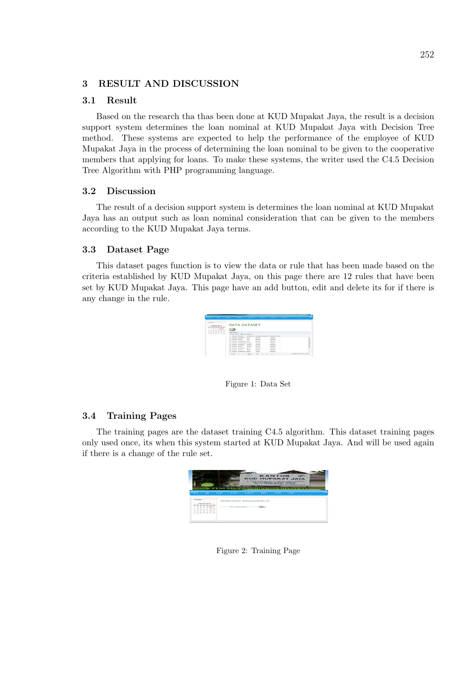## 3 RESULT AND DISCUSSION

### 3.1 Result

Based on the research tha thas been done at KUD Mupakat Jaya, the result is a decision support system determines the loan nominal at KUD Mupakat Jaya with Decision Tree method. These systems are expected to help the performance of the employee of KUD Mupakat Jaya in the process of determining the loan nominal to be given to the cooperative members that applying for loans. To make these systems, the writer used the C4.5 Decision Tree Algorithm with PHP programming language.

### 3.2 Discussion

The result of a decision support system is determines the loan nominal at KUD Mupakat Jaya has an output such as loan nominal consideration that can be given to the members according to the KUD Mupakat Jaya terms.

#### 3.3 Dataset Page

This dataset pages function is to view the data or rule that has been made based on the criteria established by KUD Mupakat Jaya, on this page there are 12 rules that have been set by KUD Mupakat Jaya. This page have an add button, edit and delete its for if there is any change in the rule.

|                                                                                                                             | <b>Contract Contract Contract</b> |                      | ---                              | <b>Contract Contract Contract</b> |                                | the company of the company of the company of the company of the company of the company of |  |  |
|-----------------------------------------------------------------------------------------------------------------------------|-----------------------------------|----------------------|----------------------------------|-----------------------------------|--------------------------------|-------------------------------------------------------------------------------------------|--|--|
| <b>BALGARE</b><br>Februari 2015<br>Av. Ave.<br><b>ALC:</b><br><b>Service State</b><br><b>STAR</b><br>٠<br>$F = T$<br>٠<br>٠ |                                   |                      | <b>DATA DATASET</b>              |                                   |                                |                                                                                           |  |  |
| <b>A</b>                                                                                                                    |                                   |                      |                                  |                                   |                                |                                                                                           |  |  |
| $\mathbb{R}$<br>20 27 28<br><b>22 25 25</b><br>$\mathbf{r}$                                                                 | <b>Reda Federal</b>               |                      |                                  |                                   |                                |                                                                                           |  |  |
|                                                                                                                             | A Katchelseet M Hazus Dateset     |                      |                                  |                                   |                                |                                                                                           |  |  |
|                                                                                                                             |                                   |                      | <b>Tongse Jamiean</b>            |                                   | Penahasian Asyranal Peminiaman | Pinjaman Laugh                                                                            |  |  |
|                                                                                                                             |                                   |                      | <b>Rendell</b> Engineering       | <b>MAGE</b>                       | Electrician                    | MARANA                                                                                    |  |  |
|                                                                                                                             |                                   | <b>Bandah Burnsh</b> |                                  | <b>NAME</b>                       | <b>Flanchut</b>                | ------                                                                                    |  |  |
|                                                                                                                             |                                   |                      | <b>Handell Exceptioners Mars</b> |                                   | <b>Black Hotel</b>             |                                                                                           |  |  |
|                                                                                                                             |                                   |                      | Sedana Tenebratura Redana        |                                   | Exploring                      | Telefonicial                                                                              |  |  |
|                                                                                                                             |                                   |                      | Sedana Esniarago                 | Sedana                            | Sedana                         | 2000000                                                                                   |  |  |
|                                                                                                                             |                                   | <b>Redona</b> Ruman  |                                  | Rekens                            | Extens                         |                                                                                           |  |  |
|                                                                                                                             |                                   |                      | <b>Sedana</b> Exchange           | <b>Bank</b>                       | <b>Backeton</b>                | MANAGEM                                                                                   |  |  |
|                                                                                                                             |                                   |                      | Sedana Rumah                     | <b>Daniel</b>                     | Sedana                         | energie                                                                                   |  |  |
|                                                                                                                             | ٠                                 |                      | <b>Bedong TanahRation</b>        | <b>DELB</b>                       | Timpa                          | 8000000                                                                                   |  |  |
|                                                                                                                             |                                   |                      |                                  |                                   |                                |                                                                                           |  |  |

Figure 1: Data Set

# 3.4 Training Pages

The training pages are the dataset training C4.5 algorithm. This dataset training pages only used once, its when this system started at KUD Mupakat Jaya. And will be used again if there is a change of the rule set.



Figure 2: Training Page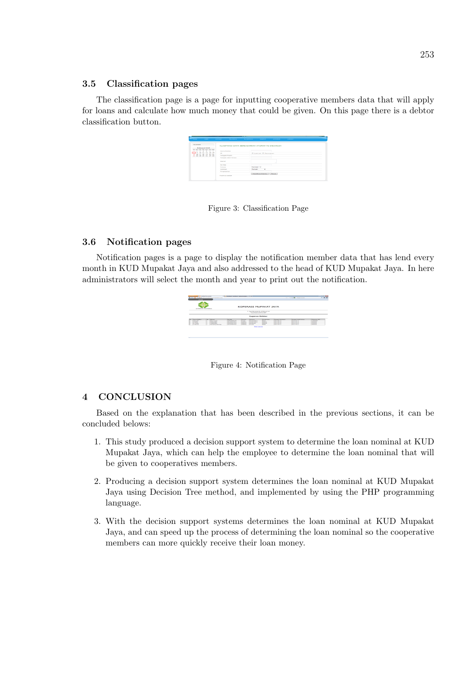#### 3.5 Classification pages

The classification page is a page for inputting cooperative members data that will apply for loans and calculate how much money that could be given. On this page there is a debtor classification button.

| the company of the company of the company of                           |                            | CATALOG - PEATRAS - MARGARET - MARGARET - MARGARET - LANGARET - LOCATION |
|------------------------------------------------------------------------|----------------------------|--------------------------------------------------------------------------|
| <b>MALENDER</b>                                                        |                            | KLASIFIKASI DATA BERDASARKAN ATURAN YG DIBANGUN                          |
| Enhances and h                                                         |                            |                                                                          |
| the the Alb Mon Jun this<br>$\sim$<br>$\sim$<br>$\mathbf{r}$<br>٠<br>٠ | <b>Nama Detriur</b>        |                                                                          |
| <b>ALL ART ART AND</b><br>$\overline{\phantom{a}}$<br><b>A</b>         | $\sim$                     | (7) LANLAND (7) Personalized                                             |
| on on<br>1.81<br>$\sim$<br><b>AR AN AN AN AF AR</b>                    | <b>Tanggal Pinjam</b>      |                                                                          |
|                                                                        | <b>Tanggal Jaluh Tempo</b> |                                                                          |
|                                                                        | <b>ALASKAR</b>             | ×                                                                        |
|                                                                        | <b>FAIL TWIN</b>           |                                                                          |
|                                                                        | Toronto                    | <b>Handah</b> v                                                          |
|                                                                        | <b>James</b>               | <b>Fluences</b><br><b>ALC</b>                                            |
|                                                                        | Penghasian                 |                                                                          |
|                                                                        |                            | Klasificasi Dabitur Elesset                                              |

Figure 3: Classification Page

#### 3.6 Notification pages

Notification pages is a page to display the notification member data that has lend every month in KUD Mupakat Jaya and also addressed to the head of KUD Mupakat Jaya. In here administrators will select the month and year to print out the notification.



Figure 4: Notification Page

#### 4 CONCLUSION

Based on the explanation that has been described in the previous sections, it can be concluded belows:

- 1. This study produced a decision support system to determine the loan nominal at KUD Mupakat Jaya, which can help the employee to determine the loan nominal that will be given to cooperatives members.
- 2. Producing a decision support system determines the loan nominal at KUD Mupakat Jaya using Decision Tree method, and implemented by using the PHP programming language.
- 3. With the decision support systems determines the loan nominal at KUD Mupakat Jaya, and can speed up the process of determining the loan nominal so the cooperative members can more quickly receive their loan money.